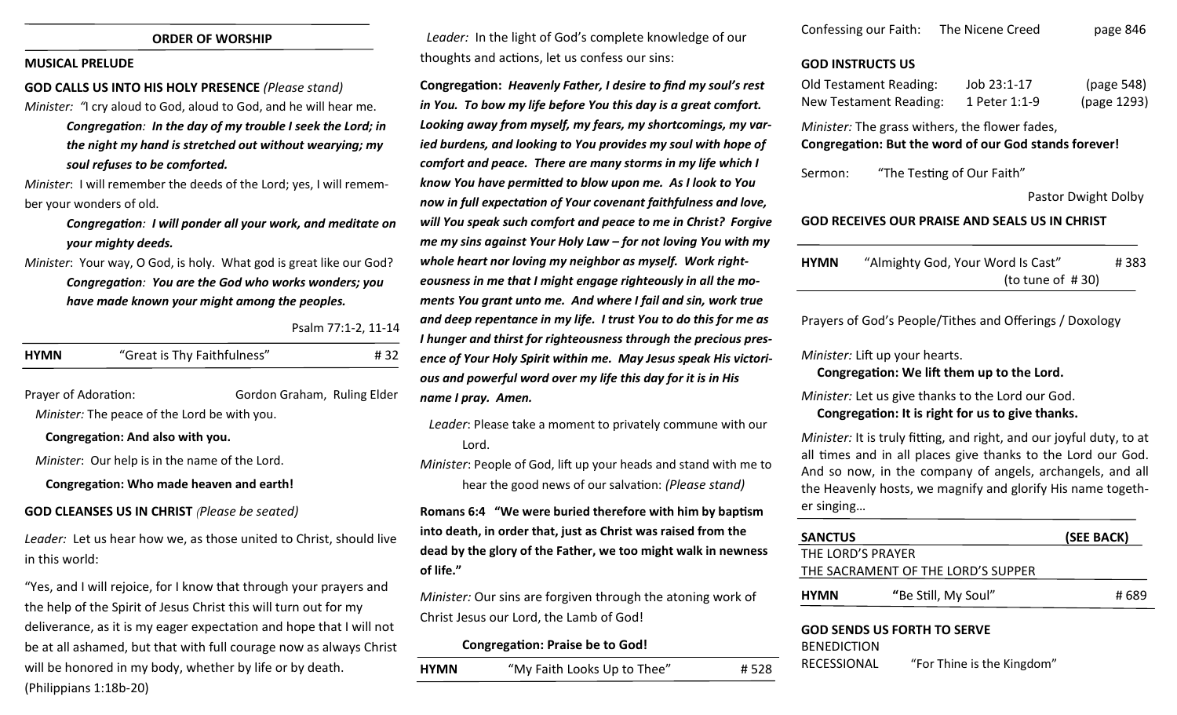#### **ORDER OF WORSHIP**

#### **MUSICAL PRELUDE**

**GOD CALLS US INTO HIS HOLY PRESENCE** *(Please stand) Minister: "*I cry aloud to God, aloud to God, and he will hear me.

> *Congregation: In the day of my trouble I seek the Lord; in the night my hand is stretched out without wearying; my soul refuses to be comforted.*

*Minister*: I will remember the deeds of the Lord; yes, I will remember your wonders of old.

> *Congregation: I will ponder all your work, and meditate on your mighty deeds.*

*Minister*: Your way, O God, is holy. What god is great like our God? *Congregation: You are the God who works wonders; you have made known your might among the peoples.* 

#### Psalm 77:1-2, 11-14

| <b>HYMN</b> | "Great is Thy Faithfulness" | # 32 |
|-------------|-----------------------------|------|
|-------------|-----------------------------|------|

Prayer of Adoration: Gordon Graham, Ruling Elder

*Minister:* The peace of the Lord be with you.

**Congregation: And also with you.**

*Minister*: Our help is in the name of the Lord.

**Congregation: Who made heaven and earth!**

#### **GOD CLEANSES US IN CHRIST** *(Please be seated)*

*Leader:* Let us hear how we, as those united to Christ, should live in this world:

"Yes, and I will rejoice, for I know that through your prayers and the help of the Spirit of Jesus Christ this will turn out for my deliverance, as it is my eager expectation and hope that I will not be at all ashamed, but that with full courage now as always Christ will be honored in my body, whether by life or by death. (Philippians 1:18b-20)

 *Leader:* In the light of God's complete knowledge of our thoughts and actions, let us confess our sins:

**Congregation:** *Heavenly Father, I desire to find my soul's rest in You. To bow my life before You this day is a great comfort. Looking away from myself, my fears, my shortcomings, my varied burdens, and looking to You provides my soul with hope of comfort and peace. There are many storms in my life which I know You have permitted to blow upon me. As I look to You now in full expectation of Your covenant faithfulness and love, will You speak such comfort and peace to me in Christ? Forgive me my sins against Your Holy Law – for not loving You with my whole heart nor loving my neighbor as myself. Work righteousness in me that I might engage righteously in all the moments You grant unto me. And where I fail and sin, work true and deep repentance in my life. I trust You to do this for me as I hunger and thirst for righteousness through the precious presence of Your Holy Spirit within me. May Jesus speak His victorious and powerful word over my life this day for it is in His name I pray. Amen.* 

- *Leader*: Please take a moment to privately commune with our Lord.
- *Minister*: People of God, lift up your heads and stand with me to hear the good news of our salvation: *(Please stand)*

**Romans 6:4 "We were buried therefore with him by baptism into death, in order that, just as Christ was raised from the dead by the glory of the Father, we too might walk in newness of life."**

*Minister:* Our sins are forgiven through the atoning work of Christ Jesus our Lord, the Lamb of God!

#### **Congregation: Praise be to God!**

| <b>HYMN</b> | "My Faith Looks Up to Thee" | #528 |
|-------------|-----------------------------|------|
|             |                             |      |

| Confessing our Faith: | The Nicene Creed | page 846 |
|-----------------------|------------------|----------|
|-----------------------|------------------|----------|

#### **GOD INSTRUCTS US**

| <b>Old Testament Reading:</b> | Job 23:1-17   | (page 548)  |
|-------------------------------|---------------|-------------|
| New Testament Reading:        | 1 Peter 1:1-9 | (page 1293) |

*Minister:* The grass withers, the flower fades,

#### **Congregation: But the word of our God stands forever!**

Sermon: "The Testing of Our Faith"

Pastor Dwight Dolby

#### **GOD RECEIVES OUR PRAISE AND SEALS US IN CHRIST**

| HYMN | "Almighty God, Your Word Is Cast" | #383 |
|------|-----------------------------------|------|
|      | (to tune of $#30$ )               |      |

Prayers of God's People/Tithes and Offerings / Doxology

*Minister:* Lift up your hearts.

**Congregation: We lift them up to the Lord.**

#### *Minister:* Let us give thanks to the Lord our God. **Congregation: It is right for us to give thanks.**

*Minister:* It is truly fitting, and right, and our joyful duty, to at all times and in all places give thanks to the Lord our God. And so now, in the company of angels, archangels, and all the Heavenly hosts, we magnify and glorify His name together singing…

| <b>SANCTUS</b>                     |                     | (SEE BACK) |
|------------------------------------|---------------------|------------|
| THE LORD'S PRAYER                  |                     |            |
| THE SACRAMENT OF THE LORD'S SUPPER |                     |            |
| <b>HYMN</b>                        | "Be Still, My Soul" | # 689      |
| <b>GOD SENDS US FORTH TO SERVE</b> |                     |            |

| <b>GOD SENDS US FORTH TO SERVE</b> |                            |
|------------------------------------|----------------------------|
| <b>BENEDICTION</b>                 |                            |
| RECESSIONAL                        | "For Thine is the Kingdom" |